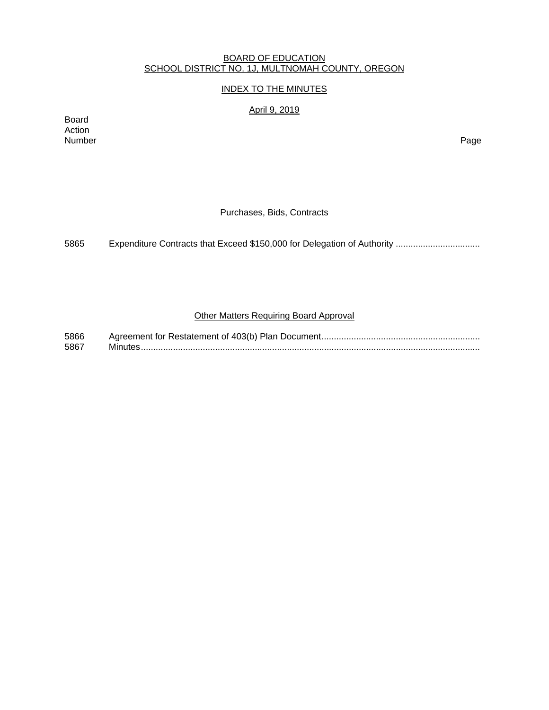### BOARD OF EDUCATION SCHOOL DISTRICT NO. 1J, MULTNOMAH COUNTY, OREGON

# INDEX TO THE MINUTES

April 9, 2019

Board Action Number Page

### Purchases, Bids, Contracts

5865 Expenditure Contracts that Exceed \$150,000 for Delegation of Authority .................................

# Other Matters Requiring Board Approval

| 5866 |  |
|------|--|
| 5867 |  |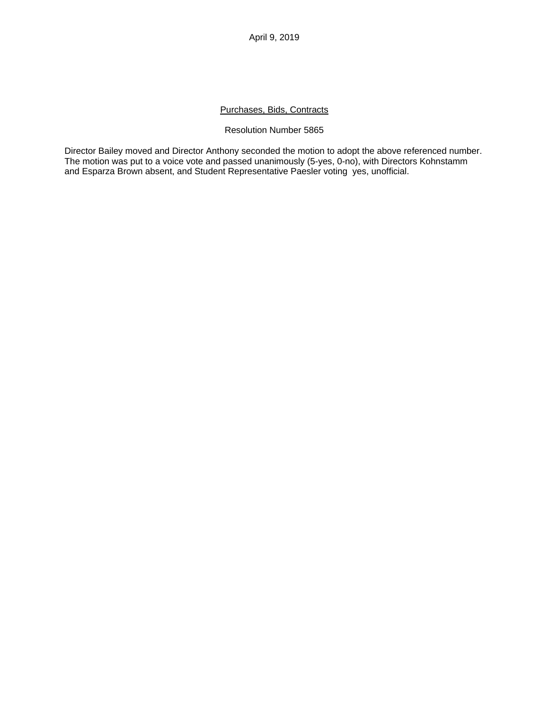### Purchases, Bids, Contracts

#### Resolution Number 5865

Director Bailey moved and Director Anthony seconded the motion to adopt the above referenced number. The motion was put to a voice vote and passed unanimously (5-yes, 0-no), with Directors Kohnstamm and Esparza Brown absent, and Student Representative Paesler voting yes, unofficial.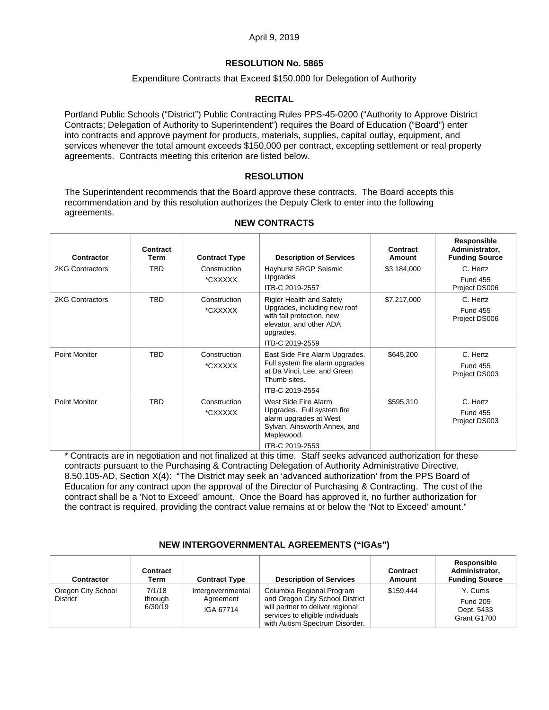### **RESOLUTION No. 5865**

### Expenditure Contracts that Exceed \$150,000 for Delegation of Authority

### **RECITAL**

Portland Public Schools ("District") Public Contracting Rules PPS-45-0200 ("Authority to Approve District Contracts; Delegation of Authority to Superintendent") requires the Board of Education ("Board") enter into contracts and approve payment for products, materials, supplies, capital outlay, equipment, and services whenever the total amount exceeds \$150,000 per contract, excepting settlement or real property agreements. Contracts meeting this criterion are listed below.

#### **RESOLUTION**

The Superintendent recommends that the Board approve these contracts. The Board accepts this recommendation and by this resolution authorizes the Deputy Clerk to enter into the following agreements.

| Contractor             | Contract<br>Term | <b>Contract Type</b>    | <b>Description of Services</b>                                                                                   | Contract<br>Amount | Responsible<br>Administrator,<br><b>Funding Source</b> |
|------------------------|------------------|-------------------------|------------------------------------------------------------------------------------------------------------------|--------------------|--------------------------------------------------------|
| 2KG Contractors        | <b>TBD</b>       | Construction<br>*CXXXXX | Hayhurst SRGP Seismic<br>Upgrades                                                                                | \$3,184,000        | C. Hertz                                               |
|                        |                  |                         | ITB-C 2019-2557                                                                                                  |                    | <b>Fund 455</b><br>Project DS006                       |
| <b>2KG Contractors</b> | <b>TBD</b>       | Construction            | <b>Rigler Health and Safety</b>                                                                                  | \$7,217,000        | C. Hertz                                               |
|                        |                  | *CXXXXX                 | Upgrades, including new roof<br>with fall protection, new<br>elevator, and other ADA<br>upgrades.                |                    | <b>Fund 455</b><br>Project DS006                       |
|                        |                  |                         | ITB-C 2019-2559                                                                                                  |                    |                                                        |
| Point Monitor          | <b>TBD</b>       | Construction<br>*CXXXXX | East Side Fire Alarm Upgrades.<br>Full system fire alarm upgrades<br>at Da Vinci, Lee, and Green<br>Thumb sites. | \$645,200          | C. Hertz<br><b>Fund 455</b><br>Project DS003           |
|                        |                  |                         | ITB-C 2019-2554                                                                                                  |                    |                                                        |
| <b>Point Monitor</b>   | <b>TBD</b>       | Construction            | West Side Fire Alarm                                                                                             | \$595,310          | C. Hertz                                               |
|                        |                  | *CXXXXX                 | Upgrades. Full system fire<br>alarm upgrades at West<br>Sylvan, Ainsworth Annex, and<br>Maplewood.               |                    | <b>Fund 455</b><br>Project DS003                       |
|                        |                  |                         | ITB-C 2019-2553                                                                                                  |                    |                                                        |

#### **NEW CONTRACTS**

\* Contracts are in negotiation and not finalized at this time. Staff seeks advanced authorization for these contracts pursuant to the Purchasing & Contracting Delegation of Authority Administrative Directive, 8.50.105-AD, Section X(4): "The District may seek an 'advanced authorization' from the PPS Board of Education for any contract upon the approval of the Director of Purchasing & Contracting. The cost of the contract shall be a 'Not to Exceed' amount. Once the Board has approved it, no further authorization for the contract is required, providing the contract value remains at or below the 'Not to Exceed' amount."

#### **NEW INTERGOVERNMENTAL AGREEMENTS ("IGAs")**

| Contractor                            | Contract<br>Term             | <b>Contract Type</b>                        | <b>Description of Services</b>                                                                                                                                         | Contract<br>Amount | Responsible<br>Administrator,<br><b>Funding Source</b>    |
|---------------------------------------|------------------------------|---------------------------------------------|------------------------------------------------------------------------------------------------------------------------------------------------------------------------|--------------------|-----------------------------------------------------------|
| Oregon City School<br><b>District</b> | 7/1/18<br>through<br>6/30/19 | Intergovernmental<br>Agreement<br>IGA 67714 | Columbia Regional Program<br>and Oregon City School District<br>will partner to deliver regional<br>services to eligible individuals<br>with Autism Spectrum Disorder. | \$159.444          | Y. Curtis<br><b>Fund 205</b><br>Dept. 5433<br>Grant G1700 |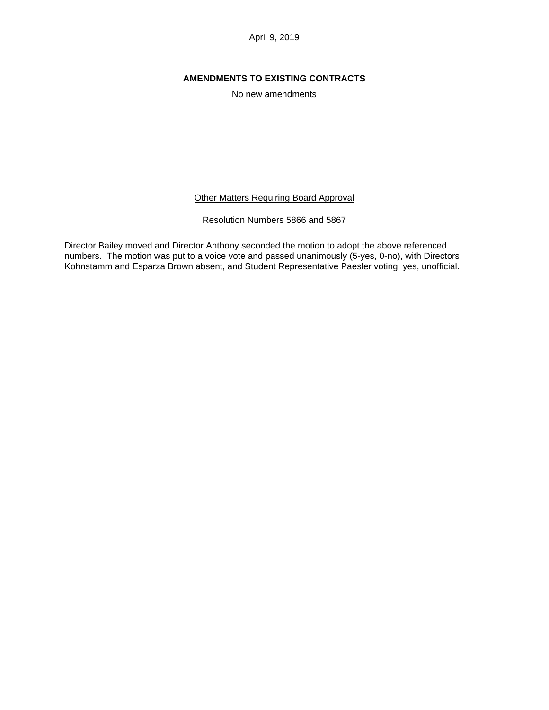# **AMENDMENTS TO EXISTING CONTRACTS**

No new amendments

**Other Matters Requiring Board Approval** 

Resolution Numbers 5866 and 5867

Director Bailey moved and Director Anthony seconded the motion to adopt the above referenced numbers. The motion was put to a voice vote and passed unanimously (5-yes, 0-no), with Directors Kohnstamm and Esparza Brown absent, and Student Representative Paesler voting yes, unofficial.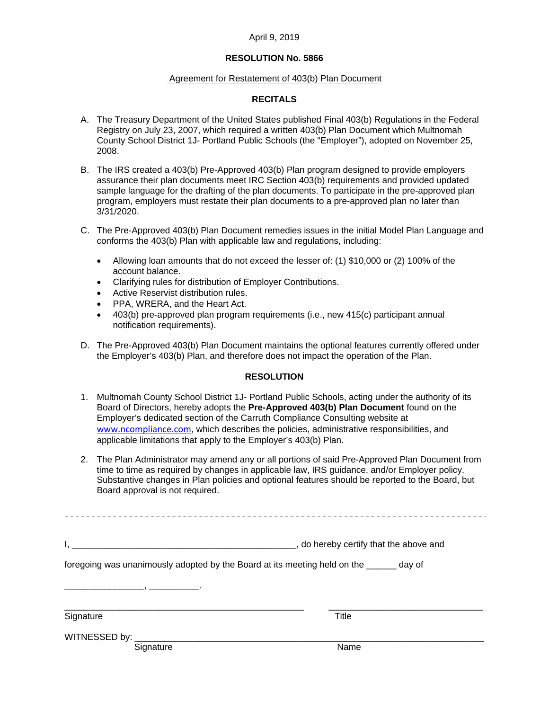### **RESOLUTION No. 5866**

#### Agreement for Restatement of 403(b) Plan Document

### **RECITALS**

- A. The Treasury Department of the United States published Final 403(b) Regulations in the Federal Registry on July 23, 2007, which required a written 403(b) Plan Document which Multnomah County School District 1J- Portland Public Schools (the "Employer"), adopted on November 25, 2008.
- B. The IRS created a 403(b) Pre-Approved 403(b) Plan program designed to provide employers assurance their plan documents meet IRC Section 403(b) requirements and provided updated sample language for the drafting of the plan documents. To participate in the pre-approved plan program, employers must restate their plan documents to a pre-approved plan no later than 3/31/2020.
- C. The Pre-Approved 403(b) Plan Document remedies issues in the initial Model Plan Language and conforms the 403(b) Plan with applicable law and regulations, including:
	- Allowing loan amounts that do not exceed the lesser of: (1) \$10,000 or (2) 100% of the account balance.
	- Clarifying rules for distribution of Employer Contributions.
	- Active Reservist distribution rules.
	- PPA, WRERA, and the Heart Act.
	- 403(b) pre-approved plan program requirements (i.e., new 415(c) participant annual notification requirements).
- D. The Pre-Approved 403(b) Plan Document maintains the optional features currently offered under the Employer's 403(b) Plan, and therefore does not impact the operation of the Plan.

#### **RESOLUTION**

- 1. Multnomah County School District 1J- Portland Public Schools, acting under the authority of its Board of Directors, hereby adopts the **Pre-Approved 403(b) Plan Document** found on the Employer's dedicated section of the Carruth Compliance Consulting website at www.ncompliance.com, which describes the policies, administrative responsibilities, and applicable limitations that apply to the Employer's 403(b) Plan.
- 2. The Plan Administrator may amend any or all portions of said Pre-Approved Plan Document from time to time as required by changes in applicable law, IRS guidance, and/or Employer policy. Substantive changes in Plan policies and optional features should be reported to the Board, but Board approval is not required.

| , do hereby certify that the above and |
|----------------------------------------|
|----------------------------------------|

foregoing was unanimously adopted by the Board at its meeting held on the \_\_\_\_\_\_ day of

Signature Title

\_\_\_\_\_\_\_\_\_\_\_\_\_\_\_\_\_\_\_\_\_\_\_\_\_\_\_\_\_\_\_\_\_\_\_\_\_\_\_\_\_\_\_\_\_\_\_\_ \_\_\_\_\_\_\_\_\_\_\_\_\_\_\_\_\_\_\_\_\_\_\_\_\_\_\_\_\_\_\_

WITNESSED by:

Signature Name

\_\_\_\_\_\_\_\_\_\_\_\_\_\_\_\_, \_\_\_\_\_\_\_\_\_\_.